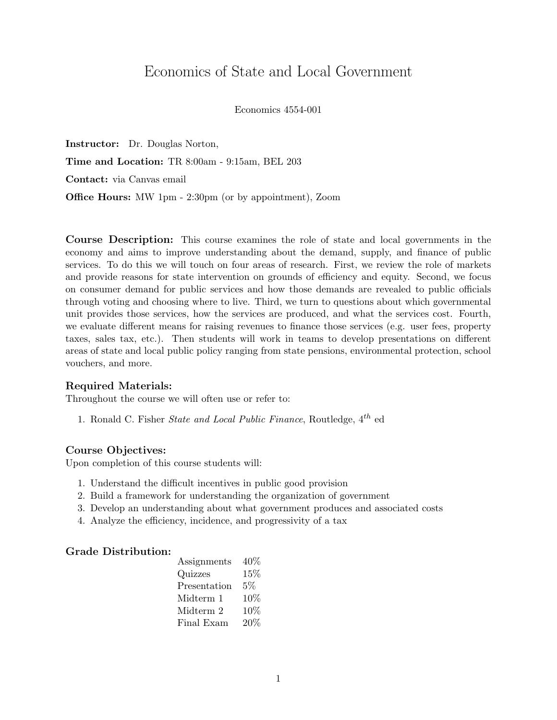# Economics of State and Local Government

#### Economics 4554-001

Instructor: Dr. Douglas Norton, Time and Location: TR 8:00am - 9:15am, BEL 203 Contact: via Canvas email Office Hours: MW 1pm - 2:30pm (or by appointment), Zoom

Course Description: This course examines the role of state and local governments in the economy and aims to improve understanding about the demand, supply, and finance of public services. To do this we will touch on four areas of research. First, we review the role of markets and provide reasons for state intervention on grounds of efficiency and equity. Second, we focus on consumer demand for public services and how those demands are revealed to public officials through voting and choosing where to live. Third, we turn to questions about which governmental unit provides those services, how the services are produced, and what the services cost. Fourth, we evaluate different means for raising revenues to finance those services (e.g. user fees, property taxes, sales tax, etc.). Then students will work in teams to develop presentations on different areas of state and local public policy ranging from state pensions, environmental protection, school vouchers, and more.

#### Required Materials:

Throughout the course we will often use or refer to:

1. Ronald C. Fisher *State and Local Public Finance*, Routledge,  $4^{th}$  ed

#### Course Objectives:

Upon completion of this course students will:

- 1. Understand the difficult incentives in public good provision
- 2. Build a framework for understanding the organization of government
- 3. Develop an understanding about what government produces and associated costs
- 4. Analyze the efficiency, incidence, and progressivity of a tax

## Grade Distribution:

| Assignments  | $40\%$ |
|--------------|--------|
| Quizzes      | 15%    |
| Presentation | $5\%$  |
| Midterm 1    | 10%    |
| Midterm 2    | 10%    |
| Final Exam   | 20%    |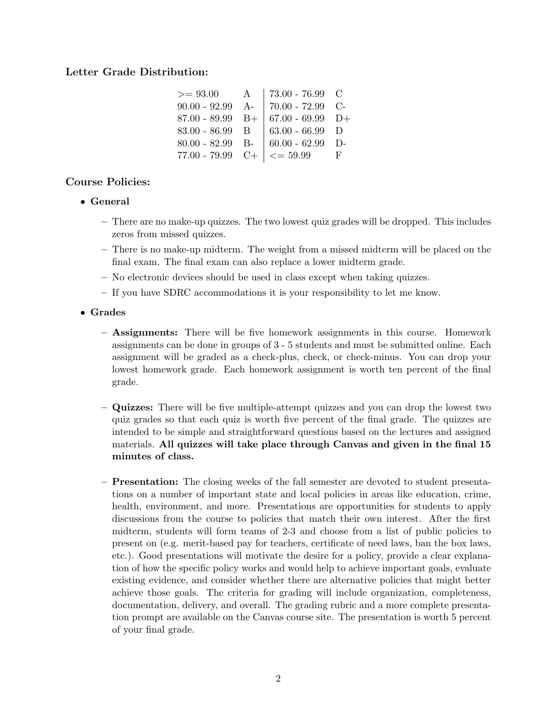## Letter Grade Distribution:

| $>= 93.00$         | A | 73.00 - 76.99 $\,$ C          |   |
|--------------------|---|-------------------------------|---|
| $90.00 - 92.99$ A- |   | $70.00 - 72.99$ C-            |   |
| $87.00 - 89.99$ B+ |   | $  67.00 - 69.99 \text{ D+}$  |   |
| $83.00 - 86.99$ B  |   | $63.00 - 66.99$ D             |   |
| $80.00 - 82.99$ B- |   | $  60.00 - 62.99   D -$       |   |
| $77.00 - 79.99$ C+ |   | $\vert \langle = 59.99 \vert$ | F |

## Course Policies:

- General
	- There are no make-up quizzes. The two lowest quiz grades will be dropped. This includes zeros from missed quizzes.
	- There is no make-up midterm. The weight from a missed midterm will be placed on the final exam. The final exam can also replace a lower midterm grade.
	- No electronic devices should be used in class except when taking quizzes.
	- If you have SDRC accommodations it is your responsibility to let me know.
- Grades
	- Assignments: There will be five homework assignments in this course. Homework assignments can be done in groups of 3 - 5 students and must be submitted online. Each assignment will be graded as a check-plus, check, or check-minus. You can drop your lowest homework grade. Each homework assignment is worth ten percent of the final grade.
	- Quizzes: There will be five multiple-attempt quizzes and you can drop the lowest two quiz grades so that each quiz is worth five percent of the final grade. The quizzes are intended to be simple and straightforward questions based on the lectures and assigned materials. All quizzes will take place through Canvas and given in the final 15 minutes of class.
	- Presentation: The closing weeks of the fall semester are devoted to student presentations on a number of important state and local policies in areas like education, crime, health, environment, and more. Presentations are opportunities for students to apply discussions from the course to policies that match their own interest. After the first midterm, students will form teams of 2-3 and choose from a list of public policies to present on (e.g. merit-based pay for teachers, certificate of need laws, ban the box laws, etc.). Good presentations will motivate the desire for a policy, provide a clear explanation of how the specific policy works and would help to achieve important goals, evaluate existing evidence, and consider whether there are alternative policies that might better achieve those goals. The criteria for grading will include organization, completeness, documentation, delivery, and overall. The grading rubric and a more complete presentation prompt are available on the Canvas course site. The presentation is worth 5 percent of your final grade.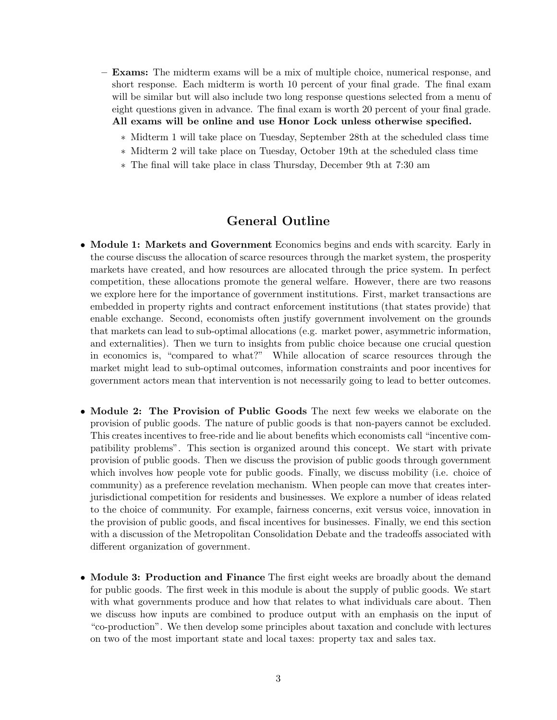- Exams: The midterm exams will be a mix of multiple choice, numerical response, and short response. Each midterm is worth 10 percent of your final grade. The final exam will be similar but will also include two long response questions selected from a menu of eight questions given in advance. The final exam is worth 20 percent of your final grade. All exams will be online and use Honor Lock unless otherwise specified.
	- ∗ Midterm 1 will take place on Tuesday, September 28th at the scheduled class time
	- ∗ Midterm 2 will take place on Tuesday, October 19th at the scheduled class time
	- ∗ The final will take place in class Thursday, December 9th at 7:30 am

## General Outline

- Module 1: Markets and Government Economics begins and ends with scarcity. Early in the course discuss the allocation of scarce resources through the market system, the prosperity markets have created, and how resources are allocated through the price system. In perfect competition, these allocations promote the general welfare. However, there are two reasons we explore here for the importance of government institutions. First, market transactions are embedded in property rights and contract enforcement institutions (that states provide) that enable exchange. Second, economists often justify government involvement on the grounds that markets can lead to sub-optimal allocations (e.g. market power, asymmetric information, and externalities). Then we turn to insights from public choice because one crucial question in economics is, "compared to what?" While allocation of scarce resources through the market might lead to sub-optimal outcomes, information constraints and poor incentives for government actors mean that intervention is not necessarily going to lead to better outcomes.
- Module 2: The Provision of Public Goods The next few weeks we elaborate on the provision of public goods. The nature of public goods is that non-payers cannot be excluded. This creates incentives to free-ride and lie about benefits which economists call "incentive compatibility problems". This section is organized around this concept. We start with private provision of public goods. Then we discuss the provision of public goods through government which involves how people vote for public goods. Finally, we discuss mobility (i.e. choice of community) as a preference revelation mechanism. When people can move that creates interjurisdictional competition for residents and businesses. We explore a number of ideas related to the choice of community. For example, fairness concerns, exit versus voice, innovation in the provision of public goods, and fiscal incentives for businesses. Finally, we end this section with a discussion of the Metropolitan Consolidation Debate and the tradeoffs associated with different organization of government.
- Module 3: Production and Finance The first eight weeks are broadly about the demand for public goods. The first week in this module is about the supply of public goods. We start with what governments produce and how that relates to what individuals care about. Then we discuss how inputs are combined to produce output with an emphasis on the input of "co-production". We then develop some principles about taxation and conclude with lectures on two of the most important state and local taxes: property tax and sales tax.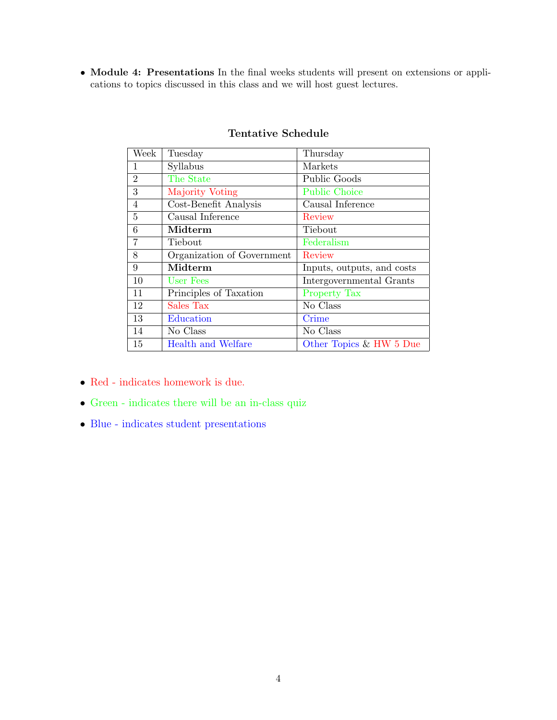• Module 4: Presentations In the final weeks students will present on extensions or applications to topics discussed in this class and we will host guest lectures.

| Week           | Tuesday                    | Thursday                   |
|----------------|----------------------------|----------------------------|
| 1              | Syllabus                   | Markets                    |
| $\overline{2}$ | The State                  | Public Goods               |
| 3              | Majority Voting            | <b>Public Choice</b>       |
| $\overline{4}$ | Cost-Benefit Analysis      | Causal Inference           |
| 5              | Causal Inference           | Review                     |
| 6              | Midterm                    | Tiebout                    |
|                | Tiebout                    | Federalism                 |
| 8              | Organization of Government | Review                     |
| 9              | Midterm                    | Inputs, outputs, and costs |
| 10             | User Fees                  | Intergovernmental Grants   |
| 11             | Principles of Taxation     | <b>Property Tax</b>        |
| 12             | Sales Tax                  | No Class                   |
| 13             | Education                  | Crime                      |
| 14             | No Class                   | No Class                   |
| 15             | <b>Health and Welfare</b>  | Other Topics & HW 5 Due    |

## Tentative Schedule

- $\bullet\,$  Red indicates homework is due.
- $\bullet$  Green indicates there will be an in-class quiz
- Blue indicates student presentations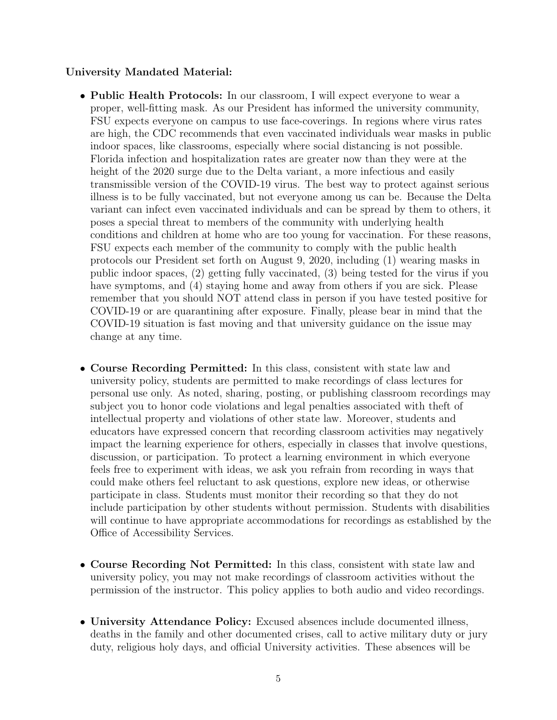## University Mandated Material:

- Public Health Protocols: In our classroom, I will expect everyone to wear a proper, well-fitting mask. As our President has informed the university community, FSU expects everyone on campus to use face-coverings. In regions where virus rates are high, the CDC recommends that even vaccinated individuals wear masks in public indoor spaces, like classrooms, especially where social distancing is not possible. Florida infection and hospitalization rates are greater now than they were at the height of the 2020 surge due to the Delta variant, a more infectious and easily transmissible version of the COVID-19 virus. The best way to protect against serious illness is to be fully vaccinated, but not everyone among us can be. Because the Delta variant can infect even vaccinated individuals and can be spread by them to others, it poses a special threat to members of the community with underlying health conditions and children at home who are too young for vaccination. For these reasons, FSU expects each member of the community to comply with the public health protocols our President set forth on August 9, 2020, including (1) wearing masks in public indoor spaces, (2) getting fully vaccinated, (3) being tested for the virus if you have symptoms, and (4) staying home and away from others if you are sick. Please remember that you should NOT attend class in person if you have tested positive for COVID-19 or are quarantining after exposure. Finally, please bear in mind that the COVID-19 situation is fast moving and that university guidance on the issue may change at any time.
- Course Recording Permitted: In this class, consistent with state law and university policy, students are permitted to make recordings of class lectures for personal use only. As noted, sharing, posting, or publishing classroom recordings may subject you to honor code violations and legal penalties associated with theft of intellectual property and violations of other state law. Moreover, students and educators have expressed concern that recording classroom activities may negatively impact the learning experience for others, especially in classes that involve questions, discussion, or participation. To protect a learning environment in which everyone feels free to experiment with ideas, we ask you refrain from recording in ways that could make others feel reluctant to ask questions, explore new ideas, or otherwise participate in class. Students must monitor their recording so that they do not include participation by other students without permission. Students with disabilities will continue to have appropriate accommodations for recordings as established by the Office of Accessibility Services.
- Course Recording Not Permitted: In this class, consistent with state law and university policy, you may not make recordings of classroom activities without the permission of the instructor. This policy applies to both audio and video recordings.
- University Attendance Policy: Excused absences include documented illness, deaths in the family and other documented crises, call to active military duty or jury duty, religious holy days, and official University activities. These absences will be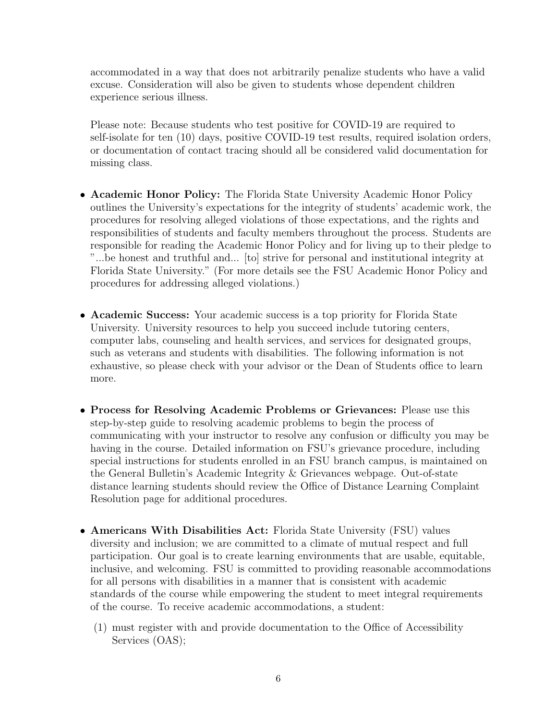accommodated in a way that does not arbitrarily penalize students who have a valid excuse. Consideration will also be given to students whose dependent children experience serious illness.

Please note: Because students who test positive for COVID-19 are required to self-isolate for ten (10) days, positive COVID-19 test results, required isolation orders, or documentation of contact tracing should all be considered valid documentation for missing class.

- Academic Honor Policy: The Florida State University Academic Honor Policy outlines the University's expectations for the integrity of students' academic work, the procedures for resolving alleged violations of those expectations, and the rights and responsibilities of students and faculty members throughout the process. Students are responsible for reading the Academic Honor Policy and for living up to their pledge to "...be honest and truthful and... [to] strive for personal and institutional integrity at Florida State University." (For more details see the FSU Academic Honor Policy and procedures for addressing alleged violations.)
- Academic Success: Your academic success is a top priority for Florida State University. University resources to help you succeed include tutoring centers, computer labs, counseling and health services, and services for designated groups, such as veterans and students with disabilities. The following information is not exhaustive, so please check with your advisor or the Dean of Students office to learn more.
- Process for Resolving Academic Problems or Grievances: Please use this step-by-step guide to resolving academic problems to begin the process of communicating with your instructor to resolve any confusion or difficulty you may be having in the course. Detailed information on FSU's grievance procedure, including special instructions for students enrolled in an FSU branch campus, is maintained on the General Bulletin's Academic Integrity & Grievances webpage. Out-of-state distance learning students should review the Office of Distance Learning Complaint Resolution page for additional procedures.
- Americans With Disabilities Act: Florida State University (FSU) values diversity and inclusion; we are committed to a climate of mutual respect and full participation. Our goal is to create learning environments that are usable, equitable, inclusive, and welcoming. FSU is committed to providing reasonable accommodations for all persons with disabilities in a manner that is consistent with academic standards of the course while empowering the student to meet integral requirements of the course. To receive academic accommodations, a student:
	- (1) must register with and provide documentation to the Office of Accessibility Services (OAS);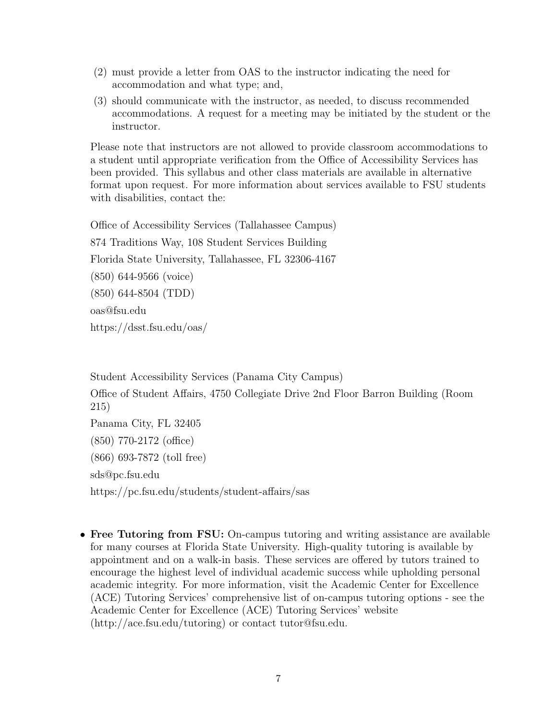- (2) must provide a letter from OAS to the instructor indicating the need for accommodation and what type; and,
- (3) should communicate with the instructor, as needed, to discuss recommended accommodations. A request for a meeting may be initiated by the student or the instructor.

Please note that instructors are not allowed to provide classroom accommodations to a student until appropriate verification from the Office of Accessibility Services has been provided. This syllabus and other class materials are available in alternative format upon request. For more information about services available to FSU students with disabilities, contact the:

Office of Accessibility Services (Tallahassee Campus) 874 Traditions Way, 108 Student Services Building Florida State University, Tallahassee, FL 32306-4167 (850) 644-9566 (voice) (850) 644-8504 (TDD) oas@fsu.edu https://dsst.fsu.edu/oas/

Student Accessibility Services (Panama City Campus) Office of Student Affairs, 4750 Collegiate Drive 2nd Floor Barron Building (Room 215) Panama City, FL 32405 (850) 770-2172 (office) (866) 693-7872 (toll free) sds@pc.fsu.edu https://pc.fsu.edu/students/student-affairs/sas

• Free Tutoring from FSU: On-campus tutoring and writing assistance are available for many courses at Florida State University. High-quality tutoring is available by appointment and on a walk-in basis. These services are offered by tutors trained to encourage the highest level of individual academic success while upholding personal academic integrity. For more information, visit the Academic Center for Excellence (ACE) Tutoring Services' comprehensive list of on-campus tutoring options - see the Academic Center for Excellence (ACE) Tutoring Services' website (http://ace.fsu.edu/tutoring) or contact tutor@fsu.edu.